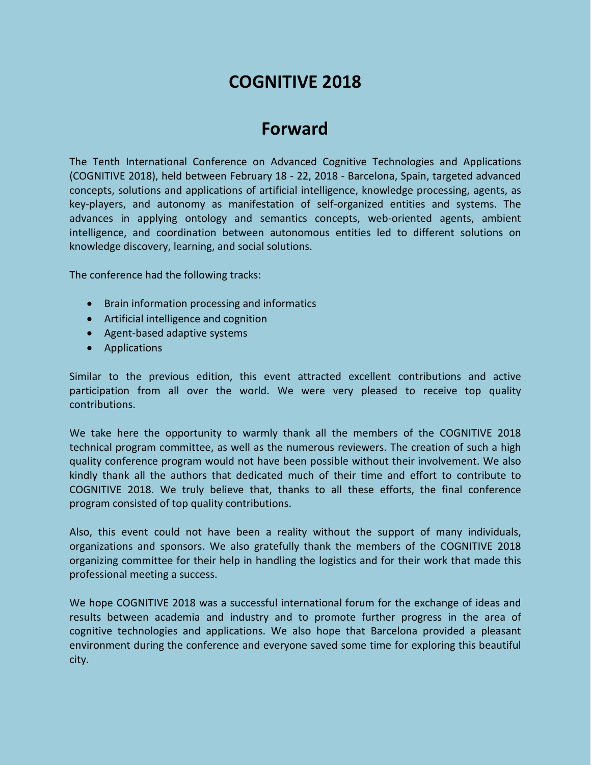## **COGNITIVE 2018**

# **Forward**

The Tenth International Conference on Advanced Cognitive Technologies and Applications (COGNITIVE 2018), held between February 18 - 22, 2018 - Barcelona, Spain, targeted advanced concepts, solutions and applications of artificial intelligence, knowledge processing, agents, as key-players, and autonomy as manifestation of self-organized entities and systems. The advances in applying ontology and semantics concepts, web-oriented agents, ambient intelligence, and coordination between autonomous entities led to different solutions on knowledge discovery, learning, and social solutions.

The conference had the following tracks:

- Brain information processing and informatics
- Artificial intelligence and cognition
- Agent-based adaptive systems
- Applications

Similar to the previous edition, this event attracted excellent contributions and active participation from all over the world. We were very pleased to receive top quality contributions.

We take here the opportunity to warmly thank all the members of the COGNITIVE 2018 technical program committee, as well as the numerous reviewers. The creation of such a high quality conference program would not have been possible without their involvement. We also kindly thank all the authors that dedicated much of their time and effort to contribute to COGNITIVE 2018. We truly believe that, thanks to all these efforts, the final conference program consisted of top quality contributions.

Also, this event could not have been a reality without the support of many individuals, organizations and sponsors. We also gratefully thank the members of the COGNITIVE 2018 organizing committee for their help in handling the logistics and for their work that made this professional meeting a success.

We hope COGNITIVE 2018 was a successful international forum for the exchange of ideas and results between academia and industry and to promote further progress in the area of cognitive technologies and applications. We also hope that Barcelona provided a pleasant environment during the conference and everyone saved some time for exploring this beautiful city.